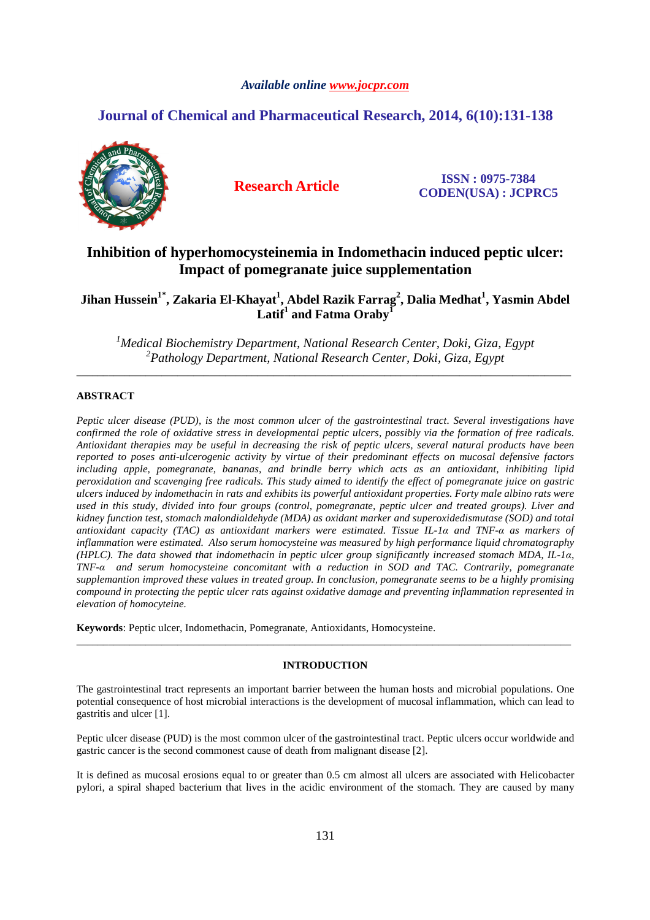# *Available online www.jocpr.com*

# **Journal of Chemical and Pharmaceutical Research, 2014, 6(10):131-138**



**Research Article ISSN : 0975-7384 CODEN(USA) : JCPRC5**

# **Inhibition of hyperhomocysteinemia in Indomethacin induced peptic ulcer: Impact of pomegranate juice supplementation**

**Jihan Hussein1\*, Zakaria El-Khayat<sup>1</sup> , Abdel Razik Farrag<sup>2</sup> , Dalia Medhat<sup>1</sup> , Yasmin Abdel Latif<sup>1</sup> and Fatma Oraby<sup>1</sup>**

*<sup>1</sup>Medical Biochemistry Department, National Research Center, Doki, Giza, Egypt <sup>2</sup>Pathology Department, National Research Center, Doki, Giza, Egypt*  \_\_\_\_\_\_\_\_\_\_\_\_\_\_\_\_\_\_\_\_\_\_\_\_\_\_\_\_\_\_\_\_\_\_\_\_\_\_\_\_\_\_\_\_\_\_\_\_\_\_\_\_\_\_\_\_\_\_\_\_\_\_\_\_\_\_\_\_\_\_\_\_\_\_\_\_\_\_\_\_\_\_\_\_\_\_\_\_\_\_\_\_\_

# **ABSTRACT**

*Peptic ulcer disease (PUD), is the most common ulcer of the gastrointestinal tract. Several investigations have confirmed the role of oxidative stress in developmental peptic ulcers, possibly via the formation of free radicals. Antioxidant therapies may be useful in decreasing the risk of peptic ulcers, several natural products have been reported to poses anti-ulcerogenic activity by virtue of their predominant effects on mucosal defensive factors including apple, pomegranate, bananas, and brindle berry which acts as an antioxidant, inhibiting lipid peroxidation and scavenging free radicals. This study aimed to identify the effect of pomegranate juice on gastric ulcers induced by indomethacin in rats and exhibits its powerful antioxidant properties. Forty male albino rats were*  used in this study, divided into four groups (control, pomegranate, peptic ulcer and treated groups). Liver and *kidney function test, stomach malondialdehyde (MDA) as oxidant marker and superoxidedismutase (SOD) and total antioxidant capacity (TAC) as antioxidant markers were estimated. Tissue IL-1α and TNF-α as markers of inflammation were estimated. Also serum homocysteine was measured by high performance liquid chromatography (HPLC). The data showed that indomethacin in peptic ulcer group significantly increased stomach MDA, IL-1α, TNF-α and serum homocysteine concomitant with a reduction in SOD and TAC. Contrarily, pomegranate supplemantion improved these values in treated group. In conclusion, pomegranate seems to be a highly promising compound in protecting the peptic ulcer rats against oxidative damage and preventing inflammation represented in elevation of homocyteine.* 

**Keywords**: Peptic ulcer, Indomethacin, Pomegranate, Antioxidants, Homocysteine.

# **INTRODUCTION**

\_\_\_\_\_\_\_\_\_\_\_\_\_\_\_\_\_\_\_\_\_\_\_\_\_\_\_\_\_\_\_\_\_\_\_\_\_\_\_\_\_\_\_\_\_\_\_\_\_\_\_\_\_\_\_\_\_\_\_\_\_\_\_\_\_\_\_\_\_\_\_\_\_\_\_\_\_\_\_\_\_\_\_\_\_\_\_\_\_\_\_\_\_

The gastrointestinal tract represents an important barrier between the human hosts and microbial populations. One potential consequence of host microbial interactions is the development of mucosal inflammation, which can lead to gastritis and ulcer [1].

Peptic ulcer disease (PUD) is the most common ulcer of the gastrointestinal tract. Peptic ulcers occur worldwide and gastric cancer is the second commonest cause of death from malignant disease [2].

It is defined as mucosal erosions equal to or greater than 0.5 cm almost all ulcers are associated with Helicobacter pylori, a spiral shaped bacterium that lives in the acidic environment of the stomach. They are caused by many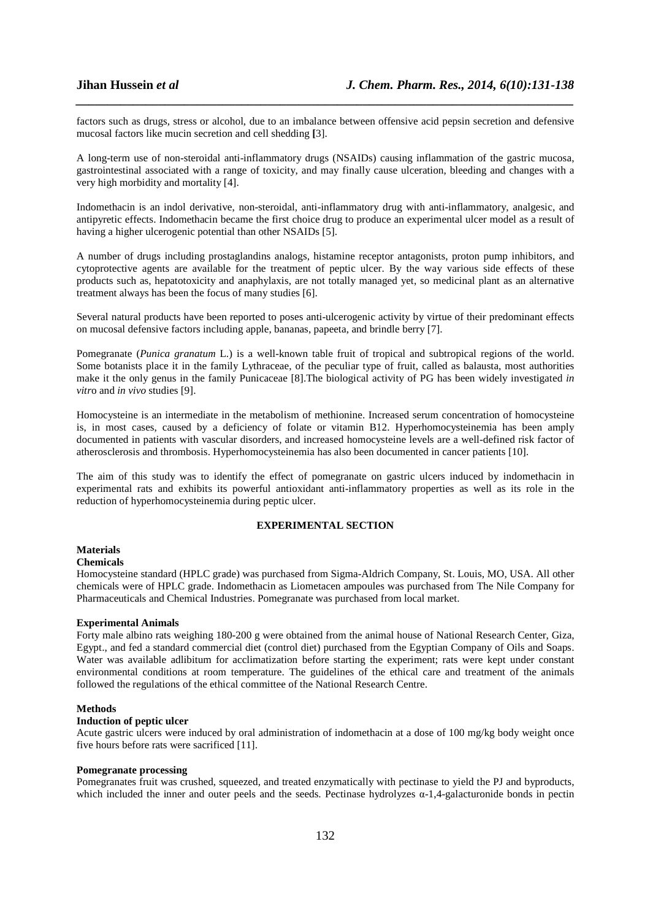factors such as drugs, stress or alcohol, due to an imbalance between offensive acid pepsin secretion and defensive mucosal factors like mucin secretion and cell shedding **[**3].

*\_\_\_\_\_\_\_\_\_\_\_\_\_\_\_\_\_\_\_\_\_\_\_\_\_\_\_\_\_\_\_\_\_\_\_\_\_\_\_\_\_\_\_\_\_\_\_\_\_\_\_\_\_\_\_\_\_\_\_\_\_\_\_\_\_\_\_\_\_\_\_\_\_\_\_\_\_\_*

A long-term use of non-steroidal anti-inflammatory drugs (NSAIDs) causing inflammation of the gastric mucosa, gastrointestinal associated with a range of toxicity, and may finally cause ulceration, bleeding and changes with a very high morbidity and mortality [4].

Indomethacin is an indol derivative, non-steroidal, anti-inflammatory drug with anti-inflammatory, analgesic, and antipyretic effects. Indomethacin became the first choice drug to produce an experimental ulcer model as a result of having a higher ulcerogenic potential than other NSAIDs [5].

A number of drugs including prostaglandins analogs, histamine receptor antagonists, proton pump inhibitors, and cytoprotective agents are available for the treatment of peptic ulcer. By the way various side effects of these products such as, hepatotoxicity and anaphylaxis, are not totally managed yet, so medicinal plant as an alternative treatment always has been the focus of many studies [6].

Several natural products have been reported to poses anti-ulcerogenic activity by virtue of their predominant effects on mucosal defensive factors including apple, bananas, papeeta, and brindle berry [7].

Pomegranate (*Punica granatum* L.) is a well-known table fruit of tropical and subtropical regions of the world. Some botanists place it in the family Lythraceae, of the peculiar type of fruit, called as balausta, most authorities make it the only genus in the family Punicaceae [8].The biological activity of PG has been widely investigated *in vitr*o and *in vivo* studies [9].

Homocysteine is an intermediate in the metabolism of methionine. Increased serum concentration of homocysteine is, in most cases, caused by a deficiency of folate or vitamin B12. Hyperhomocysteinemia has been amply documented in patients with vascular disorders, and increased homocysteine levels are a well-defined risk factor of atherosclerosis and thrombosis. Hyperhomocysteinemia has also been documented in cancer patients [10].

The aim of this study was to identify the effect of pomegranate on gastric ulcers induced by indomethacin in experimental rats and exhibits its powerful antioxidant anti-inflammatory properties as well as its role in the reduction of hyperhomocysteinemia during peptic ulcer.

# **EXPERIMENTAL SECTION**

# **Materials**

## **Chemicals**

Homocysteine standard (HPLC grade) was purchased from Sigma-Aldrich Company, St. Louis, MO, USA. All other chemicals were of HPLC grade. Indomethacin as Liometacen ampoules was purchased from The Nile Company for Pharmaceuticals and Chemical Industries. Pomegranate was purchased from local market.

#### **Experimental Animals**

Forty male albino rats weighing 180-200 g were obtained from the animal house of National Research Center, Giza, Egypt., and fed a standard commercial diet (control diet) purchased from the Egyptian Company of Oils and Soaps. Water was available adlibitum for acclimatization before starting the experiment; rats were kept under constant environmental conditions at room temperature. The guidelines of the ethical care and treatment of the animals followed the regulations of the ethical committee of the National Research Centre.

#### **Methods**

#### **Induction of peptic ulcer**

Acute gastric ulcers were induced by oral administration of indomethacin at a dose of 100 mg/kg body weight once five hours before rats were sacrificed [11].

## **Pomegranate processing**

Pomegranates fruit was crushed, squeezed, and treated enzymatically with pectinase to yield the PJ and byproducts, which included the inner and outer peels and the seeds. Pectinase hydrolyzes α-1,4-galacturonide bonds in pectin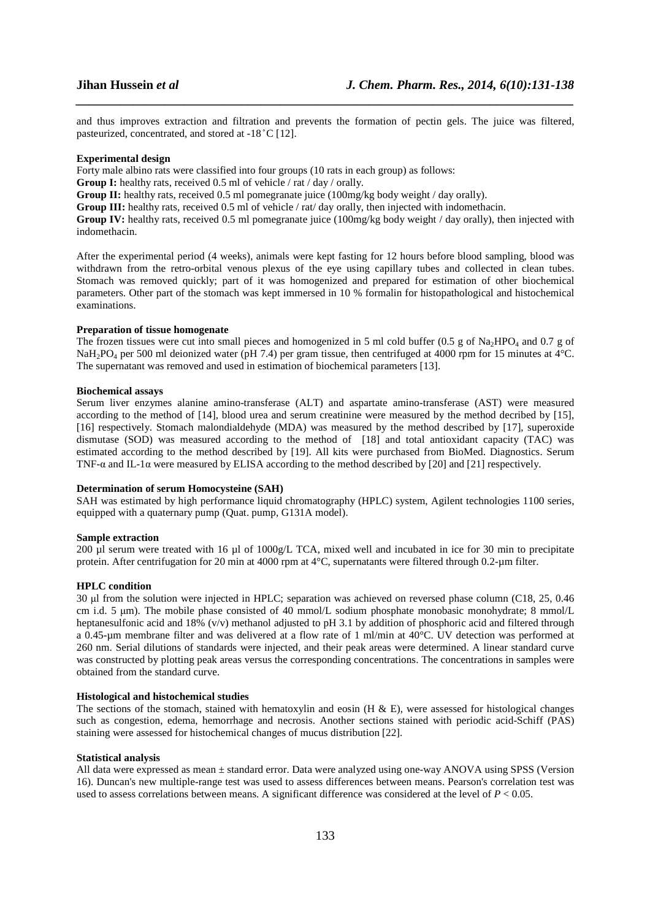and thus improves extraction and filtration and prevents the formation of pectin gels. The juice was filtered, pasteurized, concentrated, and stored at -18 ̊ C [12].

*\_\_\_\_\_\_\_\_\_\_\_\_\_\_\_\_\_\_\_\_\_\_\_\_\_\_\_\_\_\_\_\_\_\_\_\_\_\_\_\_\_\_\_\_\_\_\_\_\_\_\_\_\_\_\_\_\_\_\_\_\_\_\_\_\_\_\_\_\_\_\_\_\_\_\_\_\_\_*

#### **Experimental design**

Forty male albino rats were classified into four groups (10 rats in each group) as follows:

**Group I:** healthy rats, received 0.5 ml of vehicle / rat / day / orally.

Group II: healthy rats, received 0.5 ml pomegranate juice (100mg/kg body weight / day orally).

**Group III:** healthy rats, received 0.5 ml of vehicle / rat/ day orally, then injected with indomethacin.

**Group IV:** healthy rats, received 0.5 ml pomegranate juice (100mg/kg body weight / day orally), then injected with indomethacin.

After the experimental period (4 weeks), animals were kept fasting for 12 hours before blood sampling, blood was withdrawn from the retro-orbital venous plexus of the eye using capillary tubes and collected in clean tubes. Stomach was removed quickly; part of it was homogenized and prepared for estimation of other biochemical parameters. Other part of the stomach was kept immersed in 10 % formalin for histopathological and histochemical examinations.

# **Preparation of tissue homogenate**

The frozen tissues were cut into small pieces and homogenized in 5 ml cold buffer (0.5 g of Na<sub>2</sub>HPO<sub>4</sub> and 0.7 g of NaH<sub>2</sub>PO<sub>4</sub> per 500 ml deionized water (pH 7.4) per gram tissue, then centrifuged at 4000 rpm for 15 minutes at 4<sup>°</sup>C. The supernatant was removed and used in estimation of biochemical parameters [13].

### **Biochemical assays**

Serum liver enzymes alanine amino-transferase (ALT) and aspartate amino-transferase (AST) were measured according to the method of [14], blood urea and serum creatinine were measured by the method decribed by [15], [16] respectively. Stomach malondialdehyde (MDA) was measured by the method described by [17], superoxide dismutase (SOD) was measured according to the method of [18] and total antioxidant capacity (TAC) was estimated according to the method described by [19]. All kits were purchased from BioMed. Diagnostics. Serum TNF- $\alpha$  and IL-1 $\alpha$  were measured by ELISA according to the method described by [20] and [21] respectively.

## **Determination of serum Homocysteine (SAH)**

SAH was estimated by high performance liquid chromatography (HPLC) system, Agilent technologies 1100 series, equipped with a quaternary pump (Quat. pump, G131A model).

#### **Sample extraction**

200 µl serum were treated with 16 µl of 1000g/L TCA, mixed well and incubated in ice for 30 min to precipitate protein. After centrifugation for 20 min at 4000 rpm at 4°C, supernatants were filtered through 0.2-µm filter.

#### **HPLC condition**

30 µl from the solution were injected in HPLC; separation was achieved on reversed phase column (C18, 25, 0.46 cm i.d. 5  $\mu$ m). The mobile phase consisted of 40 mmol/L sodium phosphate monobasic monohydrate; 8 mmol/L heptanesulfonic acid and 18% (v/v) methanol adjusted to pH 3.1 by addition of phosphoric acid and filtered through a 0.45-µm membrane filter and was delivered at a flow rate of 1 ml/min at 40°C. UV detection was performed at 260 nm. Serial dilutions of standards were injected, and their peak areas were determined. A linear standard curve was constructed by plotting peak areas versus the corresponding concentrations. The concentrations in samples were obtained from the standard curve.

#### **Histological and histochemical studies**

The sections of the stomach, stained with hematoxylin and eosin (H  $\&$  E), were assessed for histological changes such as congestion, edema, hemorrhage and necrosis. Another sections stained with periodic acid-Schiff (PAS) staining were assessed for histochemical changes of mucus distribution [22].

#### **Statistical analysis**

All data were expressed as mean ± standard error. Data were analyzed using one-way ANOVA using SPSS (Version 16). Duncan's new multiple-range test was used to assess differences between means. Pearson's correlation test was used to assess correlations between means. A significant difference was considered at the level of *P* < 0.05.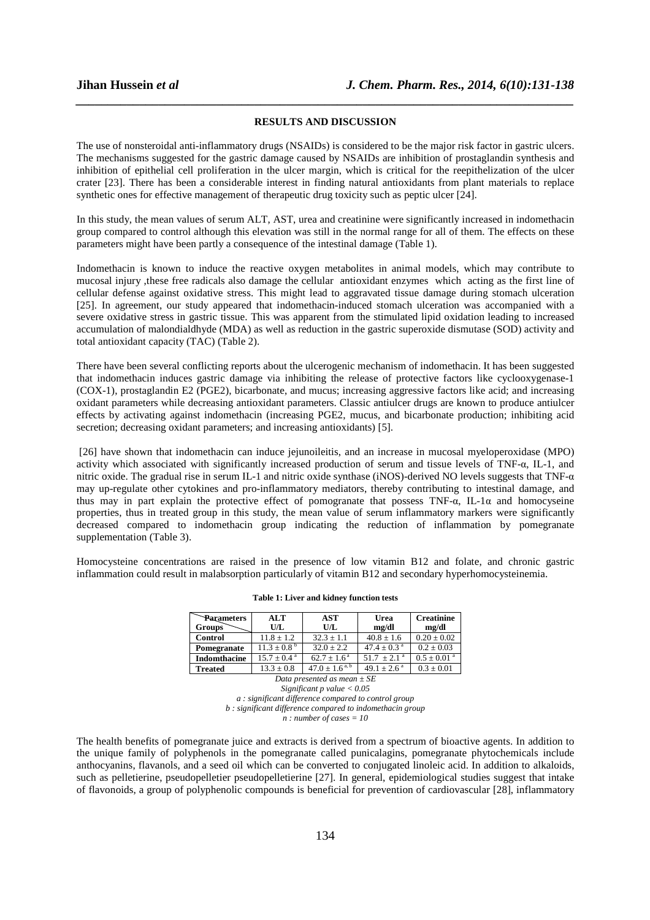#### **RESULTS AND DISCUSSION**

*\_\_\_\_\_\_\_\_\_\_\_\_\_\_\_\_\_\_\_\_\_\_\_\_\_\_\_\_\_\_\_\_\_\_\_\_\_\_\_\_\_\_\_\_\_\_\_\_\_\_\_\_\_\_\_\_\_\_\_\_\_\_\_\_\_\_\_\_\_\_\_\_\_\_\_\_\_\_*

The use of nonsteroidal anti-inflammatory drugs (NSAIDs) is considered to be the major risk factor in gastric ulcers. The mechanisms suggested for the gastric damage caused by NSAIDs are inhibition of prostaglandin synthesis and inhibition of epithelial cell proliferation in the ulcer margin, which is critical for the reepithelization of the ulcer crater [23]. There has been a considerable interest in finding natural antioxidants from plant materials to replace synthetic ones for effective management of therapeutic drug toxicity such as peptic ulcer [24].

In this study, the mean values of serum ALT, AST, urea and creatinine were significantly increased in indomethacin group compared to control although this elevation was still in the normal range for all of them. The effects on these parameters might have been partly a consequence of the intestinal damage (Table 1).

Indomethacin is known to induce the reactive oxygen metabolites in animal models, which may contribute to mucosal injury ,these free radicals also damage the cellular antioxidant enzymes which acting as the first line of cellular defense against oxidative stress. This might lead to aggravated tissue damage during stomach ulceration [25]. In agreement, our study appeared that indomethacin-induced stomach ulceration was accompanied with a severe oxidative stress in gastric tissue. This was apparent from the stimulated lipid oxidation leading to increased accumulation of malondialdhyde (MDA) as well as reduction in the gastric superoxide dismutase (SOD) activity and total antioxidant capacity (TAC) (Table 2).

There have been several conflicting reports about the ulcerogenic mechanism of indomethacin. It has been suggested that indomethacin induces gastric damage via inhibiting the release of protective factors like cyclooxygenase-1 (COX-1), prostaglandin E2 (PGE2), bicarbonate, and mucus; increasing aggressive factors like acid; and increasing oxidant parameters while decreasing antioxidant parameters. Classic antiulcer drugs are known to produce antiulcer effects by activating against indomethacin (increasing PGE2, mucus, and bicarbonate production; inhibiting acid secretion; decreasing oxidant parameters; and increasing antioxidants) [5].

 [26] have shown that indomethacin can induce jejunoileitis, and an increase in mucosal myeloperoxidase (MPO) activity which associated with significantly increased production of serum and tissue levels of TNF-α, IL-1, and nitric oxide. The gradual rise in serum IL-1 and nitric oxide synthase (iNOS)-derived NO levels suggests that TNF-α may up-regulate other cytokines and pro-inflammatory mediators, thereby contributing to intestinal damage, and thus may in part explain the protective effect of pomogranate that possess TNF-α, IL-1α and homocyseine properties, thus in treated group in this study, the mean value of serum inflammatory markers were significantly decreased compared to indomethacin group indicating the reduction of inflammation by pomegranate supplementation (Table 3).

Homocysteine concentrations are raised in the presence of low vitamin B12 and folate, and chronic gastric inflammation could result in malabsorption particularly of vitamin B12 and secondary hyperhomocysteinemia.

| Parameters                                                                                                                                                                                                                                                                                                                                | <b>ALT</b>                | AST                     | Urea                      | <b>Creatinine</b>           |  |
|-------------------------------------------------------------------------------------------------------------------------------------------------------------------------------------------------------------------------------------------------------------------------------------------------------------------------------------------|---------------------------|-------------------------|---------------------------|-----------------------------|--|
| <b>Groups</b>                                                                                                                                                                                                                                                                                                                             | U/L                       | U/L                     | mg/dl                     | mg/dl                       |  |
| <b>Control</b>                                                                                                                                                                                                                                                                                                                            | $11.8 + 1.2$              | $32.3 + 1.1$            | $40.8 \pm 1.6$            | $0.20 \pm 0.02$             |  |
| Pomegranate                                                                                                                                                                                                                                                                                                                               | $11.3 + 0.8^{\mathrm{b}}$ | $32.0 + 2.2$            | $47.4 + 0.3$ <sup>a</sup> | $0.2 \pm 0.03$              |  |
| Indomthacine                                                                                                                                                                                                                                                                                                                              | $15.7 + 0.4^{\text{a}}$   | $62.7 + 1.6^{\text{a}}$ | $51.7 + 2.1$ <sup>a</sup> | $0.5 \pm 0.01$ <sup>a</sup> |  |
| <b>Treated</b>                                                                                                                                                                                                                                                                                                                            | $13.3 \pm 0.8$            | $47.0 \pm 1.6^{a,b}$    | $49.1 + 2.6^{\text{a}}$   | $0.3 \pm 0.01$              |  |
| $D_{\alpha}$ . $D_{\alpha}$ . $D_{\alpha}$ . $D_{\alpha}$ . $D_{\alpha}$ . $D_{\alpha}$ . $D_{\alpha}$ . $D_{\alpha}$ . $D_{\alpha}$ . $D_{\alpha}$ . $D_{\alpha}$ . $D_{\alpha}$ . $D_{\alpha}$ . $D_{\alpha}$ . $D_{\alpha}$ . $D_{\alpha}$ . $D_{\alpha}$ . $D_{\alpha}$ . $D_{\alpha}$ . $D_{\alpha}$ . $D_{\alpha}$ . $D_{\alpha}$ . |                           |                         |                           |                             |  |

#### **Table 1: Liver and kidney function tests**

*Data presented as mean ± SE* 

*Significant p value < 0.05 a : significant difference compared to control group b : significant difference compared to indomethacin group n : number of cases = 10* 

The health benefits of pomegranate juice and extracts is derived from a spectrum of bioactive agents. In addition to the unique family of polyphenols in the pomegranate called punicalagins, pomegranate phytochemicals include anthocyanins, flavanols, and a seed oil which can be converted to conjugated linoleic acid. In addition to alkaloids, such as pelletierine, pseudopelletier pseudopelletierine [27]. In general, epidemiological studies suggest that intake of flavonoids, a group of polyphenolic compounds is beneficial for prevention of cardiovascular [28], inflammatory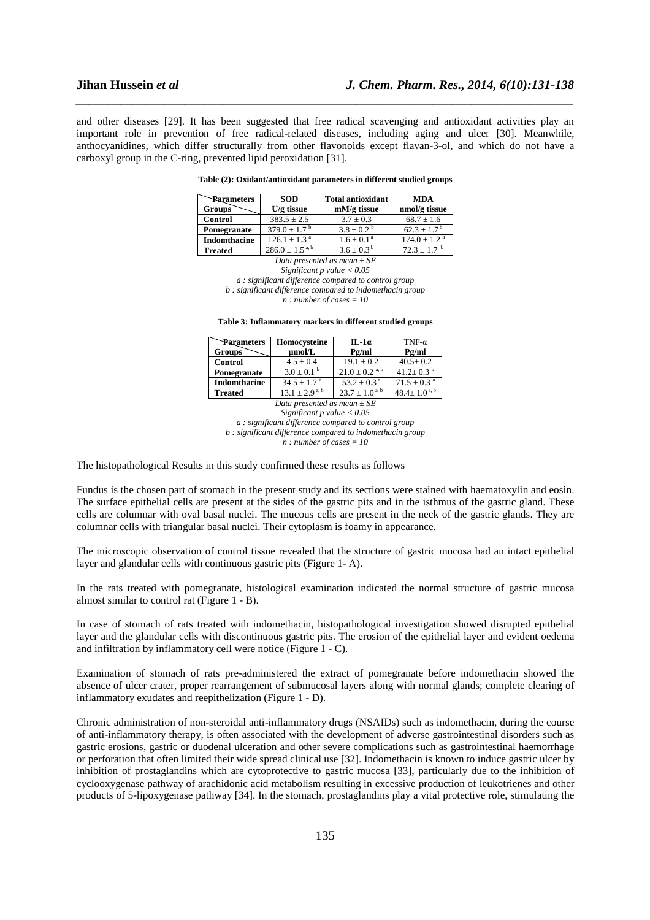and other diseases [29]. It has been suggested that free radical scavenging and antioxidant activities play an important role in prevention of free radical-related diseases, including aging and ulcer [30]. Meanwhile, anthocyanidines, which differ structurally from other flavonoids except flavan-3-ol, and which do not have a carboxyl group in the C-ring, prevented lipid peroxidation [31].

*\_\_\_\_\_\_\_\_\_\_\_\_\_\_\_\_\_\_\_\_\_\_\_\_\_\_\_\_\_\_\_\_\_\_\_\_\_\_\_\_\_\_\_\_\_\_\_\_\_\_\_\_\_\_\_\_\_\_\_\_\_\_\_\_\_\_\_\_\_\_\_\_\_\_\_\_\_\_*

#### **Table (2): Oxidant/antioxidant parameters in different studied groups**

| Parameters          | <b>SOD</b>              | <b>Total antioxidant</b> | <b>MDA</b>                  |
|---------------------|-------------------------|--------------------------|-----------------------------|
| <b>Groups</b>       | $U/g$ tissue            | $mM/g$ tissue            | nmol/g tissue               |
| <b>Control</b>      | $383.5 \pm 2.5$         | $3.7 + 0.3$              | $68.7 + 1.6$                |
| Pomegranate         | $379.0 \pm 1.7^{\circ}$ | $3.8 + 0.2^{b}$          | $62.3 \pm 1.7^{\mathrm{b}}$ |
| <b>Indomthacine</b> | $126.1 + 1.3^{a}$       | $1.6 + 0.1^a$            | $174.0 + 1.2$ <sup>a</sup>  |
| <b>Treated</b>      | $286.0 \pm 1.5^{a,b}$   | $3.6 + 0.3^{b}$          | $72.3 + 1.7$ <sup>b</sup>   |

*Data presented as mean ± SE* 

*Significant p value < 0.05 a : significant difference compared to control group b : significant difference compared to indomethacin group* 

*n : number of cases = 10* 

**Table 3: Inflammatory markers in different studied groups** 

| <b>Parameters</b>   | Homocysteine                    | $IL-1a$                        | TNF- $\alpha$               |
|---------------------|---------------------------------|--------------------------------|-----------------------------|
| <b>Groups</b>       | umol/L                          | Pg/ml                          | Pg/ml                       |
| Control             | $4.5 \pm 0.4$                   | $19.1 + 0.2$                   | $40.5 \pm 0.2$              |
| Pomegranate         | $3.0 \pm 0.1^{\circ}$           | $21.0 \pm 0.2$ <sup>a, b</sup> | $41.2 \pm 0.3$ <sup>b</sup> |
| <b>Indomthacine</b> | $34.5 \pm 1.7$ <sup>a</sup>     | $53.2 \pm 0.3^{\text{a}}$      | $71.5 \pm 0.3$ <sup>a</sup> |
| <b>Treated</b>      | $13.1 \pm 2.9^{\overline{a,b}}$ | $23.7 + 1.0^{a, b}$            | $48.4 \pm 1.0^{a,b}$        |

*Data presented as mean ± SE Significant p value < 0.05 a : significant difference compared to control group b : significant difference compared to indomethacin group n : number of cases = 10* 

The histopathological Results in this study confirmed these results as follows

Fundus is the chosen part of stomach in the present study and its sections were stained with haematoxylin and eosin. The surface epithelial cells are present at the sides of the gastric pits and in the isthmus of the gastric gland. These cells are columnar with oval basal nuclei. The mucous cells are present in the neck of the gastric glands. They are columnar cells with triangular basal nuclei. Their cytoplasm is foamy in appearance.

The microscopic observation of control tissue revealed that the structure of gastric mucosa had an intact epithelial layer and glandular cells with continuous gastric pits (Figure 1- A).

In the rats treated with pomegranate, histological examination indicated the normal structure of gastric mucosa almost similar to control rat (Figure 1 - B).

In case of stomach of rats treated with indomethacin, histopathological investigation showed disrupted epithelial layer and the glandular cells with discontinuous gastric pits. The erosion of the epithelial layer and evident oedema and infiltration by inflammatory cell were notice (Figure 1 - C).

Examination of stomach of rats pre-administered the extract of pomegranate before indomethacin showed the absence of ulcer crater, proper rearrangement of submucosal layers along with normal glands; complete clearing of inflammatory exudates and reepithelization (Figure 1 - D).

Chronic administration of non-steroidal anti-inflammatory drugs (NSAIDs) such as indomethacin, during the course of anti-inflammatory therapy, is often associated with the development of adverse gastrointestinal disorders such as gastric erosions, gastric or duodenal ulceration and other severe complications such as gastrointestinal haemorrhage or perforation that often limited their wide spread clinical use [32]. Indomethacin is known to induce gastric ulcer by inhibition of prostaglandins which are cytoprotective to gastric mucosa [33], particularly due to the inhibition of cyclooxygenase pathway of arachidonic acid metabolism resulting in excessive production of leukotrienes and other products of 5-lipoxygenase pathway [34]. In the stomach, prostaglandins play a vital protective role, stimulating the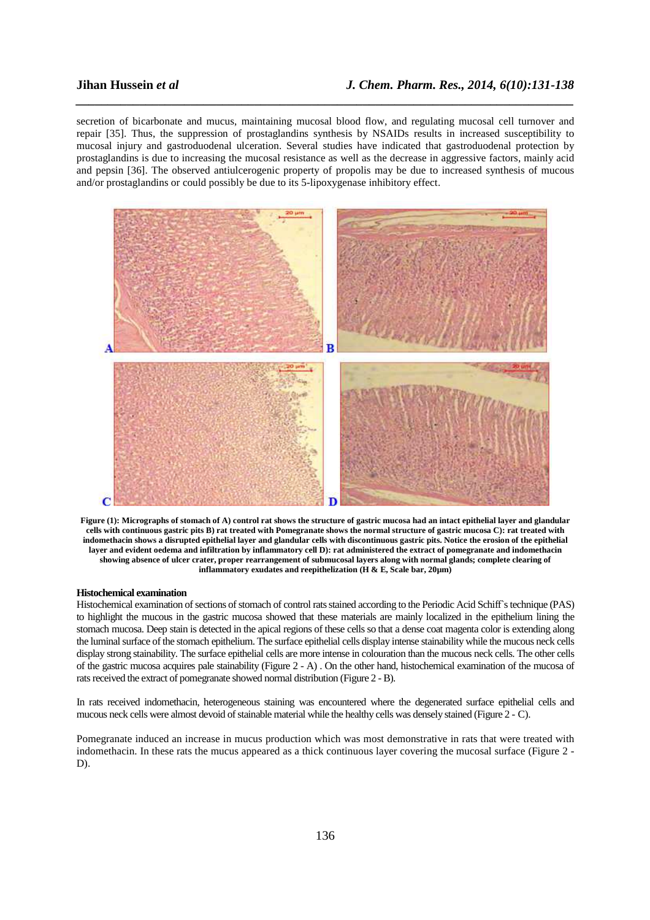secretion of bicarbonate and mucus, maintaining mucosal blood flow, and regulating mucosal cell turnover and repair [35]. Thus, the suppression of prostaglandins synthesis by NSAIDs results in increased susceptibility to mucosal injury and gastroduodenal ulceration. Several studies have indicated that gastroduodenal protection by prostaglandins is due to increasing the mucosal resistance as well as the decrease in aggressive factors, mainly acid and pepsin [36]. The observed antiulcerogenic property of propolis may be due to increased synthesis of mucous and/or prostaglandins or could possibly be due to its 5-lipoxygenase inhibitory effect.

*\_\_\_\_\_\_\_\_\_\_\_\_\_\_\_\_\_\_\_\_\_\_\_\_\_\_\_\_\_\_\_\_\_\_\_\_\_\_\_\_\_\_\_\_\_\_\_\_\_\_\_\_\_\_\_\_\_\_\_\_\_\_\_\_\_\_\_\_\_\_\_\_\_\_\_\_\_\_*



**Figure (1): Micrographs of stomach of A) control rat shows the structure of gastric mucosa had an intact epithelial layer and glandular cells with continuous gastric pits B) rat treated with Pomegranate shows the normal structure of gastric mucosa C): rat treated with indomethacin shows a disrupted epithelial layer and glandular cells with discontinuous gastric pits. Notice the erosion of the epithelial layer and evident oedema and infiltration by inflammatory cell D): rat administered the extract of pomegranate and indomethacin showing absence of ulcer crater, proper rearrangement of submucosal layers along with normal glands; complete clearing of inflammatory exudates and reepithelization (H & E, Scale bar, 20µm)** 

# **Histochemical examination**

Histochemical examination of sections of stomach of control rats stained according to the Periodic Acid Schiff's technique (PAS) to highlight the mucous in the gastric mucosa showed that these materials are mainly localized in the epithelium lining the stomach mucosa. Deep stain is detected in the apical regions of these cells so that a dense coat magenta color is extending along the luminal surface of the stomach epithelium. The surface epithelial cells display intense stainability while the mucous neck cells display strong stainability. The surface epithelial cells are more intense in colouration than the mucous neck cells. The other cells of the gastric mucosa acquires pale stainability (Figure 2 - A) . On the other hand, histochemical examination of the mucosa of rats received the extract of pomegranate showed normal distribution (Figure 2 - B).

In rats received indomethacin, heterogeneous staining was encountered where the degenerated surface epithelial cells and mucous neck cells were almost devoid of stainable material while the healthy cells was densely stained (Figure 2 - C).

Pomegranate induced an increase in mucus production which was most demonstrative in rats that were treated with indomethacin. In these rats the mucus appeared as a thick continuous layer covering the mucosal surface (Figure 2 - D).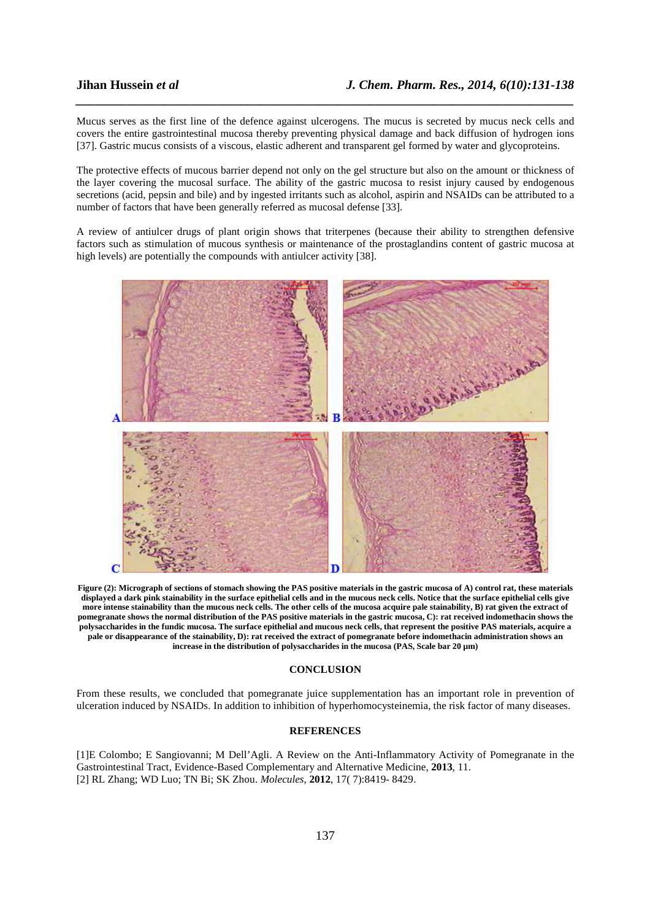Mucus serves as the first line of the defence against ulcerogens. The mucus is secreted by mucus neck cells and covers the entire gastrointestinal mucosa thereby preventing physical damage and back diffusion of hydrogen ions [37]. Gastric mucus consists of a viscous, elastic adherent and transparent gel formed by water and glycoproteins.

*\_\_\_\_\_\_\_\_\_\_\_\_\_\_\_\_\_\_\_\_\_\_\_\_\_\_\_\_\_\_\_\_\_\_\_\_\_\_\_\_\_\_\_\_\_\_\_\_\_\_\_\_\_\_\_\_\_\_\_\_\_\_\_\_\_\_\_\_\_\_\_\_\_\_\_\_\_\_*

The protective effects of mucous barrier depend not only on the gel structure but also on the amount or thickness of the layer covering the mucosal surface. The ability of the gastric mucosa to resist injury caused by endogenous secretions (acid, pepsin and bile) and by ingested irritants such as alcohol, aspirin and NSAIDs can be attributed to a number of factors that have been generally referred as mucosal defense [33].

A review of antiulcer drugs of plant origin shows that triterpenes (because their ability to strengthen defensive factors such as stimulation of mucous synthesis or maintenance of the prostaglandins content of gastric mucosa at high levels) are potentially the compounds with antiulcer activity [38].



**Figure (2): Micrograph of sections of stomach showing the PAS positive materials in the gastric mucosa of A) control rat, these materials displayed a dark pink stainability in the surface epithelial cells and in the mucous neck cells. Notice that the surface epithelial cells give more intense stainability than the mucous neck cells. The other cells of the mucosa acquire pale stainability, B) rat given the extract of pomegranate shows the normal distribution of the PAS positive materials in the gastric mucosa, C): rat received indomethacin shows the polysaccharides in the fundic mucosa. The surface epithelial and mucous neck cells, that represent the positive PAS materials, acquire a pale or disappearance of the stainability, D): rat received the extract of pomegranate before indomethacin administration shows an increase in the distribution of polysaccharides in the mucosa (PAS, Scale bar 20 µm)** 

#### **CONCLUSION**

From these results, we concluded that pomegranate juice supplementation has an important role in prevention of ulceration induced by NSAIDs. In addition to inhibition of hyperhomocysteinemia, the risk factor of many diseases.

#### **REFERENCES**

[1]E Colombo; E Sangiovanni; M Dell'Agli. A Review on the Anti-Inflammatory Activity of Pomegranate in the Gastrointestinal Tract, Evidence-Based Complementary and Alternative Medicine, **2013**, 11. [2] RL Zhang; WD Luo; TN Bi; SK Zhou. *Molecules*, **2012**, 17( 7):8419- 8429.